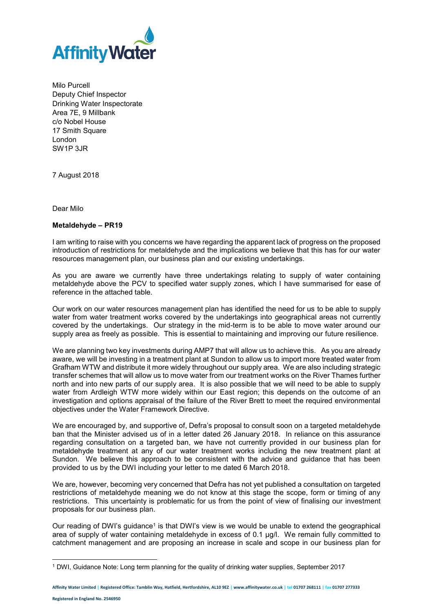

Milo Purcell Deputy Chief Inspector Drinking Water Inspectorate Area 7E, 9 Millbank c/o Nobel House 17 Smith Square London SW1P 3JR

7 August 2018

Dear Milo

## **Metaldehyde – PR19**

I am writing to raise with you concerns we have regarding the apparent lack of progress on the proposed introduction of restrictions for metaldehyde and the implications we believe that this has for our water resources management plan, our business plan and our existing undertakings.

As you are aware we currently have three undertakings relating to supply of water containing metaldehyde above the PCV to specified water supply zones, which I have summarised for ease of reference in the attached table.

Our work on our water resources management plan has identified the need for us to be able to supply water from water treatment works covered by the undertakings into geographical areas not currently covered by the undertakings. Our strategy in the mid-term is to be able to move water around our supply area as freely as possible. This is essential to maintaining and improving our future resilience.

We are planning two key investments during AMP7 that will allow us to achieve this. As you are already aware, we will be investing in a treatment plant at Sundon to allow us to import more treated water from Grafham WTW and distribute it more widely throughout our supply area. We are also including strategic transfer schemes that will allow us to move water from our treatment works on the River Thames further north and into new parts of our supply area. It is also possible that we will need to be able to supply water from Ardleigh WTW more widely within our East region; this depends on the outcome of an investigation and options appraisal of the failure of the River Brett to meet the required environmental objectives under the Water Framework Directive.

We are encouraged by, and supportive of, Defra's proposal to consult soon on a targeted metaldehyde ban that the Minister advised us of in a letter dated 26 January 2018. In reliance on this assurance regarding consultation on a targeted ban, we have not currently provided in our business plan for metaldehyde treatment at any of our water treatment works including the new treatment plant at Sundon. We believe this approach to be consistent with the advice and guidance that has been provided to us by the DWI including your letter to me dated 6 March 2018.

We are, however, becoming very concerned that Defra has not yet published a consultation on targeted restrictions of metaldehyde meaning we do not know at this stage the scope, form or timing of any restrictions. This uncertainty is problematic for us from the point of view of finalising our investment proposals for our business plan.

Our reading of DWI's guidance<sup>1</sup> is that DWI's view is we would be unable to extend the geographical area of supply of water containing metaldehyde in excess of 0.1 µg/l. We remain fully committed to catchment management and are proposing an increase in scale and scope in our business plan for

**Affinity Water Limited | Registered Office: Tamblin Way, Hatfield, Hertfordshire, AL10 9EZ | www.affinitywater.co.uk | tel 01707 268111 | fax 01707 277333**

1

<sup>1</sup> DWI, Guidance Note: Long term planning for the quality of drinking water supplies, September 2017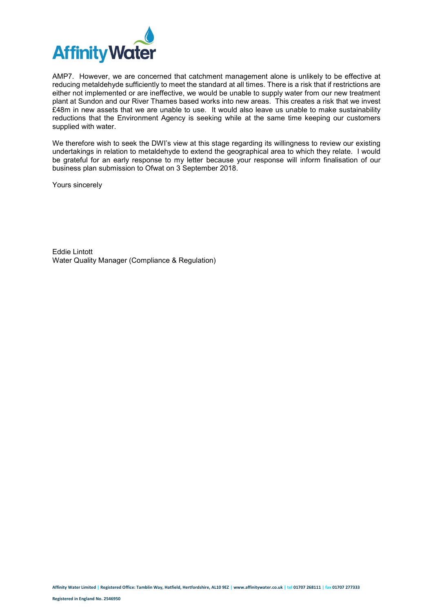

AMP7. However, we are concerned that catchment management alone is unlikely to be effective at reducing metaldehyde sufficiently to meet the standard at all times. There is a risk that if restrictions are either not implemented or are ineffective, we would be unable to supply water from our new treatment plant at Sundon and our River Thames based works into new areas. This creates a risk that we invest £48m in new assets that we are unable to use. It would also leave us unable to make sustainability reductions that the Environment Agency is seeking while at the same time keeping our customers supplied with water.

We therefore wish to seek the DWI's view at this stage regarding its willingness to review our existing undertakings in relation to metaldehyde to extend the geographical area to which they relate. I would be grateful for an early response to my letter because your response will inform finalisation of our business plan submission to Ofwat on 3 September 2018.

Yours sincerely

Eddie Lintott Water Quality Manager (Compliance & Regulation)